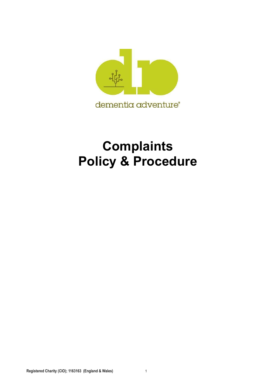

## **Complaints Policy & Procedure**